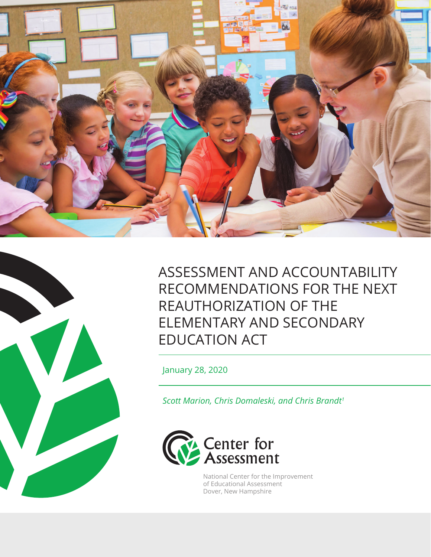



ASSESSMENT AND ACCOUNTABILITY RECOMMENDATIONS FOR THE NEXT REAUTHORIZATION OF THE ELEMENTARY AND SECONDARY EDUCATION ACT

January 28, 2020

*Scott Marion, Chris Domaleski, and Chris Brandt1*



National Center for the Improvement of Educational Assessment Dover, New Hampshire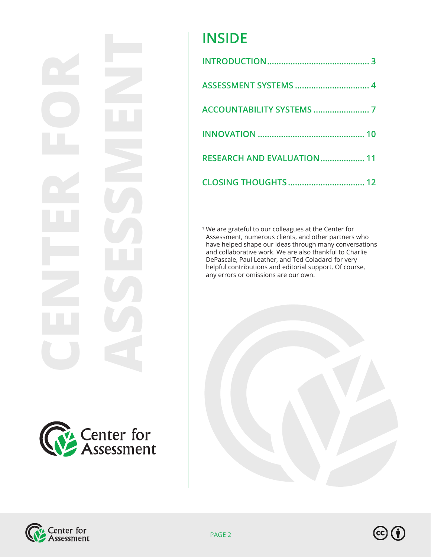# **CENTER FOR ASSESSMENT**



# **INSIDE**

| <b>RESEARCH AND EVALUATION  11</b> |
|------------------------------------|
|                                    |

<sup>1</sup> We are grateful to our colleagues at the Center for Assessment, numerous clients, and other partners who have helped shape our ideas through many conversations and collaborative work. We are also thankful to Charlie DePascale, Paul Leather, and Ted Coladarci for very helpful contributions and editorial support. Of course, any errors or omissions are our own.





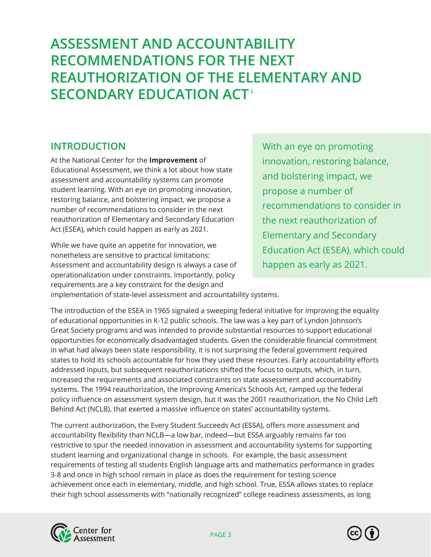# <span id="page-2-0"></span>**ASSESSMENT AND ACCOUNTABILITY RECOMMENDATIONS FOR THE NEXT REAUTHORIZATION OF THE ELEMENTARY AND SECONDARY EDUCATION ACT <sup>i</sup>**

# **INTRODUCTION**

At the National Center for the **Improvement** of Educational Assessment, we think a lot about how state assessment and accountability systems can promote student learning. With an eye on promoting innovation, restoring balance, and bolstering impact, we propose a number of recommendations to consider in the next reauthorization of Elementary and Secondary Education Act (ESEA), which could happen as early as 2021.

While we have quite an appetite for innovation, we nonetheless are sensitive to practical limitations: Assessment and accountability design is always a case of operationalization under constraints. Importantly, policy requirements are a key constraint for the design and

With an eye on promoting innovation, restoring balance, and bolstering impact, we propose a number of recommendations to consider in the next reauthorization of Elementary and Secondary Education Act (ESEA), which could happen as early as 2021.

implementation of state-level assessment and accountability systems.

The introduction of the ESEA in 1965 signaled a sweeping federal initiative for improving the equality of educational opportunities in K-12 public schools. The law was a key part of Lyndon Johnson's Great Society programs and was intended to provide substantial resources to support educational opportunities for economically disadvantaged students. Given the considerable financial commitment in what had always been state responsibility, it is not surprising the federal government required states to hold its schools accountable for how they used these resources. Early accountability efforts addressed inputs, but subsequent reauthorizations shifted the focus to outputs, which, in turn, increased the requirements and associated constraints on state assessment and accountability systems. The 1994 reauthorization, the Improving America's Schools Act, ramped up the federal policy influence on assessment system design, but it was the 2001 reauthorization, the No Child Left Behind Act (NCLB), that exerted a massive influence on states' accountability systems.

The current authorization, the Every Student Succeeds Act (ESSA), offers more assessment and accountability flexibility than NCLB—a low bar, indeed—but ESSA arguably remains far too restrictive to spur the needed innovation in assessment and accountability systems for supporting student learning and organizational change in schools. For example, the basic assessment requirements of testing all students English language arts and mathematics performance in grades 3-8 and once in high school remain in place as does the requirement for testing science achievement once each in elementary, middle, and high school. True, ESSA allows states to replace their high school assessments with "nationally recognized" college readiness assessments, as long



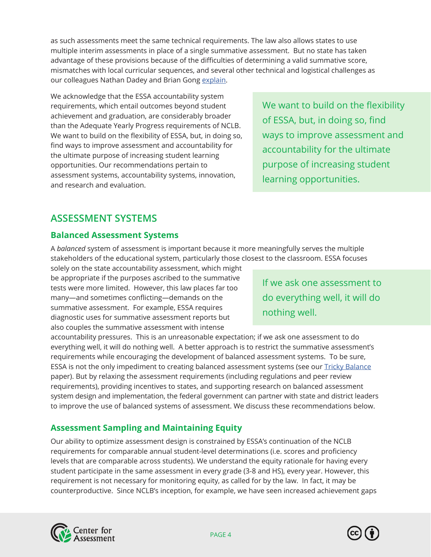<span id="page-3-0"></span>as such assessments meet the same technical requirements. The law also allows states to use multiple interim assessments in place of a single summative assessment. But no state has taken advantage of these provisions because of the difficulties of determining a valid summative score, mismatches with local curricular sequences, and several other technical and logistical challenges as our colleagues Nathan Dadey and Brian Gong [explain.](https://www.nciea.org/sites/default/files/publications/ASR%20ESSA%20Interim%20Considerations-April%202017.pdf)

We acknowledge that the ESSA accountability system requirements, which entail outcomes beyond student achievement and graduation, are considerably broader than the Adequate Yearly Progress requirements of NCLB. We want to build on the flexibility of ESSA, but, in doing so, find ways to improve assessment and accountability for the ultimate purpose of increasing student learning opportunities. Our recommendations pertain to assessment systems, accountability systems, innovation, and research and evaluation.

We want to build on the flexibility of ESSA, but, in doing so, find ways to improve assessment and accountability for the ultimate purpose of increasing student learning opportunities.

# **ASSESSMENT SYSTEMS**

### **Balanced Assessment Systems**

A *balanced* system of assessment is important because it more meaningfully serves the multiple stakeholders of the educational system, particularly those closest to the classroom. ESSA focuses

solely on the state accountability assessment, which might be appropriate if the purposes ascribed to the summative tests were more limited. However, this law places far too many—and sometimes conflicting—demands on the summative assessment. For example, ESSA requires diagnostic uses for summative assessment reports but also couples the summative assessment with intense

If we ask one assessment to do everything well, it will do nothing well.

accountability pressures. This is an unreasonable expectation; if we ask one assessment to do everything well, it will do nothing well. A better approach is to restrict the summative assessment's requirements while encouraging the development of balanced assessment systems. To be sure, ESSA is not the only impediment to creating balanced assessment systems (see our [Tricky Balance](https://www.nciea.org/articles/challenges-and-opportunities-balanced-systems-assessment-policy-brief) paper). But by relaxing the assessment requirements (including regulations and peer review requirements), providing incentives to states, and supporting research on balanced assessment system design and implementation, the federal government can partner with state and district leaders to improve the use of balanced systems of assessment. We discuss these recommendations below.

### **Assessment Sampling and Maintaining Equity**

Our ability to optimize assessment design is constrained by ESSA's continuation of the NCLB requirements for comparable annual student-level determinations (i.e. scores and proficiency levels that are comparable across students). We understand the equity rationale for having every student participate in the same assessment in every grade (3-8 and HS), every year. However, this requirement is not necessary for monitoring equity, as called for by the law. In fact, it may be counterproductive. Since NCLB's inception, for example, we have seen increased achievement gaps



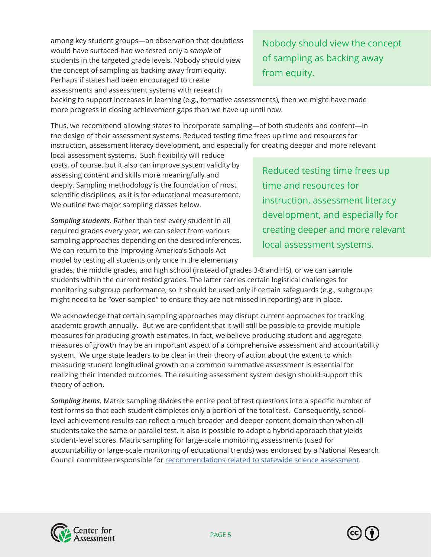among key student groups—an observation that doubtless would have surfaced had we tested only a *sample* of students in the targeted grade levels. Nobody should view the concept of sampling as backing away from equity. Perhaps if states had been encouraged to create assessments and assessment systems with research

Nobody should view the concept of sampling as backing away from equity.

backing to support increases in learning (e.g., formative assessments), then we might have made more progress in closing achievement gaps than we have up until now.

Thus, we recommend allowing states to incorporate sampling—of both students and content—in the design of their assessment systems. Reduced testing time frees up time and resources for instruction, assessment literacy development, and especially for creating deeper and more relevant

local assessment systems. Such flexibility will reduce costs, of course, but it also can improve system validity by assessing content and skills more meaningfully and deeply. Sampling methodology is the foundation of most scientific disciplines, as it is for educational measurement. We outline two major sampling classes below.

*Sampling students.* Rather than test every student in all required grades every year, we can select from various sampling approaches depending on the desired inferences. We can return to the Improving America's Schools Act model by testing all students only once in the elementary

Reduced testing time frees up time and resources for instruction, assessment literacy development, and especially for creating deeper and more relevant local assessment systems.

grades, the middle grades, and high school (instead of grades 3-8 and HS), or we can sample students within the current tested grades. The latter carries certain logistical challenges for monitoring subgroup performance, so it should be used only if certain safeguards (e.g., subgroups might need to be "over-sampled" to ensure they are not missed in reporting) are in place.

We acknowledge that certain sampling approaches may disrupt current approaches for tracking academic growth annually. But we are confident that it will still be possible to provide multiple measures for producing growth estimates. In fact, we believe producing student and aggregate measures of growth may be an important aspect of a comprehensive assessment and accountability system. We urge state leaders to be clear in their theory of action about the extent to which measuring student longitudinal growth on a common summative assessment is essential for realizing their intended outcomes. The resulting assessment system design should support this theory of action.

*Sampling items.* Matrix sampling divides the entire pool of test questions into a specific number of test forms so that each student completes only a portion of the total test. Consequently, schoollevel achievement results can reflect a much broader and deeper content domain than when all students take the same or parallel test. It also is possible to adopt a hybrid approach that yields student-level scores. Matrix sampling for large-scale monitoring assessments (used for accountability or large-scale monitoring of educational trends) was endorsed by a National Research Council committee responsible for [recommendations related to statewide science assessment](https://www.nap.edu/catalog/18409/developing-assessments-for-the-next-generation-science-standards).



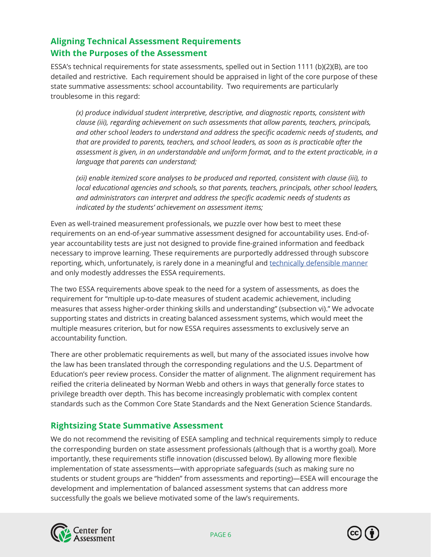## **Aligning Technical Assessment Requirements With the Purposes of the Assessment**

ESSA's technical requirements for state assessments, spelled out in Section 1111 (b)(2)(B), are too detailed and restrictive. Each requirement should be appraised in light of the core purpose of these state summative assessments: school accountability. Two requirements are particularly troublesome in this regard:

 *(x) produce individual student interpretive, descriptive, and diagnostic reports, consistent with clause (iii), regarding achievement on such assessments that allow parents, teachers, principals, and other school leaders to understand and address the specific academic needs of students, and that are provided to parents, teachers, and school leaders, as soon as is practicable after the assessment is given, in an understandable and uniform format, and to the extent practicable, in a language that parents can understand;*

 *(xii) enable itemized score analyses to be produced and reported, consistent with clause (iii), to local educational agencies and schools, so that parents, teachers, principals, other school leaders, and administrators can interpret and address the specific academic needs of students as indicated by the students' achievement on assessment items;*

Even as well-trained measurement professionals, we puzzle over how best to meet these requirements on an end-of-year summative assessment designed for accountability uses. End-ofyear accountability tests are just not designed to provide fine-grained information and feedback necessary to improve learning. These requirements are purportedly addressed through subscore reporting, which, unfortunately, is rarely done in a meaningful and [technically defensible manner](https://www.nciea.org/blog/assessment-reports/promoting-effective-practices-subscore-reporting-and-use) and only modestly addresses the ESSA requirements.

The two ESSA requirements above speak to the need for a system of assessments, as does the requirement for "multiple up-to-date measures of student academic achievement, including measures that assess higher-order thinking skills and understanding" (subsection vi)." We advocate supporting states and districts in creating balanced assessment systems, which would meet the multiple measures criterion, but for now ESSA requires assessments to exclusively serve an accountability function.

There are other problematic requirements as well, but many of the associated issues involve how the law has been translated through the corresponding regulations and the U.S. Department of Education's peer review process. Consider the matter of alignment. The alignment requirement has reified the criteria delineated by Norman Webb and others in ways that generally force states to privilege breadth over depth. This has become increasingly problematic with complex content standards such as the Common Core State Standards and the Next Generation Science Standards.

### **Rightsizing State Summative Assessment**

We do not recommend the revisiting of ESEA sampling and technical requirements simply to reduce the corresponding burden on state assessment professionals (although that is a worthy goal). More importantly, these requirements stifle innovation (discussed below). By allowing more flexible implementation of state assessments—with appropriate safeguards (such as making sure no students or student groups are "hidden" from assessments and reporting)—ESEA will encourage the development and implementation of balanced assessment systems that can address more successfully the goals we believe motivated some of the law's requirements.



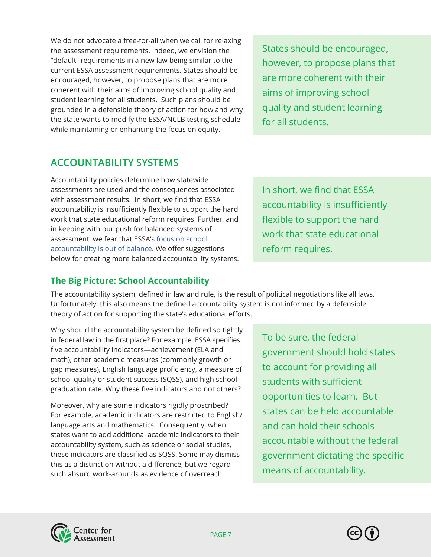<span id="page-6-0"></span>We do not advocate a free-for-all when we call for relaxing the assessment requirements. Indeed, we envision the "default" requirements in a new law being similar to the current ESSA assessment requirements. States should be encouraged, however, to propose plans that are more coherent with their aims of improving school quality and student learning for all students. Such plans should be grounded in a defensible theory of action for how and why the state wants to modify the ESSA/NCLB testing schedule while maintaining or enhancing the focus on equity.

States should be encouraged, however, to propose plans that are more coherent with their aims of improving school quality and student learning for all students.

# **ACCOUNTABILITY SYSTEMS**

Accountability policies determine how statewide assessments are used and the consequences associated with assessment results. In short, we find that ESSA accountability is insufficiently flexible to support the hard work that state educational reform requires. Further, and in keeping with our push for balanced systems of assessment, we fear that ESSA's [focus on school](https://www.nciea.org/sites/default/files/publications/Coherent%20and%20Balanced%20Accountability%20Design%20-%20final.pdf)  [accountability is out of balance](https://www.nciea.org/sites/default/files/publications/Coherent%20and%20Balanced%20Accountability%20Design%20-%20final.pdf). We offer suggestions below for creating more balanced accountability systems.

#### **The Big Picture: School Accountability**

The accountability system, defined in law and rule, is the result of political negotiations like all laws. Unfortunately, this also means the defined accountability system is not informed by a defensible theory of action for supporting the state's educational efforts.

Why should the accountability system be defined so tightly in federal law in the first place? For example, ESSA specifies five accountability indicators—achievement (ELA and math), other academic measures (commonly growth or gap measures), English language proficiency, a measure of school quality or student success (SQSS), and high school graduation rate. Why these five indicators and not others?

Moreover, why are some indicators rigidly proscribed? For example, academic indicators are restricted to English/ language arts and mathematics. Consequently, when states want to add additional academic indicators to their accountability system, such as science or social studies, these indicators are classified as SQSS. Some may dismiss this as a distinction without a difference, but we regard such absurd work-arounds as evidence of overreach.

To be sure, the federal government should hold states to account for providing all students with sufficient opportunities to learn. But states can be held accountable and can hold their schools accountable without the federal government dictating the specific means of accountability.





In short, we find that ESSA accountability is insufficiently flexible to support the hard work that state educational reform requires.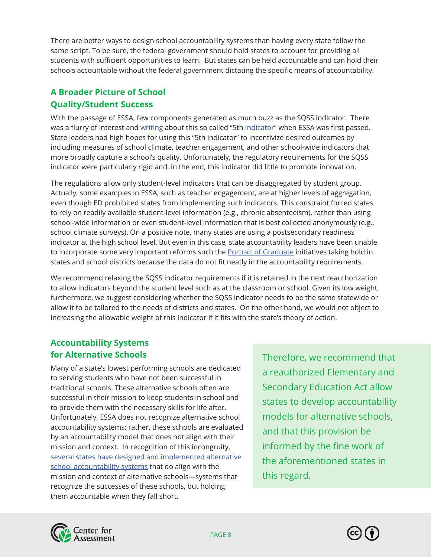There are better ways to design school accountability systems than having every state follow the same script. To be sure, the federal government should hold states to account for providing all students with sufficient opportunities to learn. But states can be held accountable and can hold their schools accountable without the federal government dictating the specific means of accountability.

# **A Broader Picture of School Quality/Student Success**

With the passage of ESSA, few components generated as much buzz as the SQSS indicator. There was a flurry of interest and [writing](https://www.nciea.org/sites/default/files/pubs-tmp/CCSSO_SQSS_Brief.pdf) about this so called "5th [indicator](https://www.nciea.org/sites/default/files/pubs-tmp/Marion%20Lyons_ESSA%20Accountability_5th%20Indicator_111416.pdf)" when ESSA was first passed. State leaders had high hopes for using this "5th indicator" to incentivize desired outcomes by including measures of school climate, teacher engagement, and other school-wide indicators that more broadly capture a school's quality. Unfortunately, the regulatory requirements for the SQSS indicator were particularly rigid and, in the end, this indicator did little to promote innovation.

The regulations allow only student-level indicators that can be disaggregated by student group. Actually, some examples in ESSA, such as teacher engagement, are at higher levels of aggregation, even though ED prohibited states from implementing such indicators. This constraint forced states to rely on readily available student-level information (e.g., chronic absenteeism), rather than using school-wide information or even student-level information that is best collected anonymously (e.g., school climate surveys). On a positive note, many states are using a postsecondary readiness indicator at the high school level. But even in this case, state accountability leaders have been unable to incorporate some very important reforms such the [Portrait of Graduate](https://portraitofagraduate.org/) initiatives taking hold in states and school districts because the data do not fit neatly in the accountability requirements.

We recommend relaxing the SQSS indicator requirements if it is retained in the next reauthorization to allow indicators beyond the student level such as at the classroom or school. Given its low weight, furthermore, we suggest considering whether the SQSS indicator needs to be the same statewide or allow it to be tailored to the needs of districts and states. On the other hand, we would not object to increasing the allowable weight of this indicator if it fits with the state's theory of action.

### **Accountability Systems for Alternative Schools**

Many of a state's lowest performing schools are dedicated to serving students who have not been successful in traditional schools. These alternative schools often are successful in their mission to keep students in school and to provide them with the necessary skills for life after. Unfortunately, ESSA does not recognize alternative school accountability systems; rather, these schools are evaluated by an accountability model that does not align with their mission and context. In recognition of this incongruity, [several states have designed and implemented alternative](https://www.nciea.org/blog/assessment-systems/rethinking-accountability-alternative-high-schools)  [school accountability systems](https://www.nciea.org/blog/assessment-systems/rethinking-accountability-alternative-high-schools) that do align with the mission and context of alternative schools—systems that recognize the successes of these schools, but holding them accountable when they fall short.

Therefore, we recommend that a reauthorized Elementary and Secondary Education Act allow states to develop accountability models for alternative schools, and that this provision be informed by the fine work of the aforementioned states in this regard.



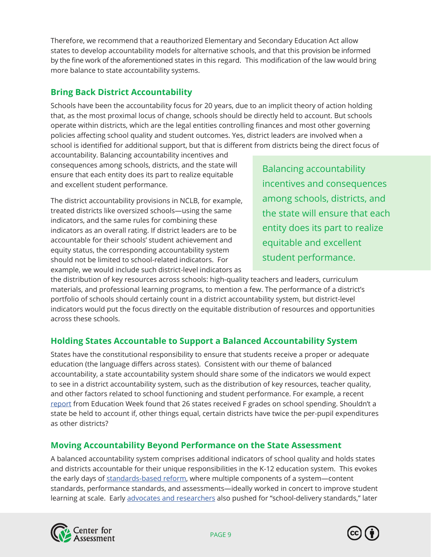Therefore, we recommend that a reauthorized Elementary and Secondary Education Act allow states to develop accountability models for alternative schools, and that this provision be informed by the fine work of the aforementioned states in this regard. This modification of the law would bring more balance to state accountability systems.

## **Bring Back District Accountability**

Schools have been the accountability focus for 20 years, due to an implicit theory of action holding that, as the most proximal locus of change, schools should be directly held to account. But schools operate within districts, which are the legal entities controlling finances and most other governing policies affecting school quality and student outcomes. Yes, district leaders are involved when a school is identified for additional support, but that is different from districts being the direct focus of

accountability. Balancing accountability incentives and consequences among schools, districts, and the state will ensure that each entity does its part to realize equitable and excellent student performance.

The district accountability provisions in NCLB, for example, treated districts like oversized schools—using the same indicators, and the same rules for combining these indicators as an overall rating. If district leaders are to be accountable for their schools' student achievement and equity status, the corresponding accountability system should not be limited to school-related indicators. For example, we would include such district-level indicators as

Balancing accountability incentives and consequences among schools, districts, and the state will ensure that each entity does its part to realize equitable and excellent student performance.

the distribution of key resources across schools: high-quality teachers and leaders, curriculum materials, and professional learning programs, to mention a few. The performance of a district's portfolio of schools should certainly count in a district accountability system, but district-level indicators would put the focus directly on the equitable distribution of resources and opportunities across these schools.

### **Holding States Accountable to Support a Balanced Accountability System**

States have the constitutional responsibility to ensure that students receive a proper or adequate education (the language differs across states). Consistent with our theme of balanced accountability, a state accountability system should share some of the indicators we would expect to see in a district accountability system, such as the distribution of key resources, teacher quality, and other factors related to school functioning and student performance. For example, a recent [report](https://www.edweek.org/ew/articles/2018/06/06/nation-earns-mediocre-grade-on-school-finance.html) from Education Week found that 26 states received F grades on school spending. Shouldn't a state be held to account if, other things equal, certain districts have twice the per-pupil expenditures as other districts?

### **Moving Accountability Beyond Performance on the State Assessment**

A balanced accountability system comprises additional indicators of school quality and holds states and districts accountable for their unique responsibilities in the K-12 education system. This evokes the early days of [standards-based reform](https://www.nciea.org/library/common-core-context-standards-based-reform), where multiple components of a system-content standards, performance standards, and assessments—ideally worked in concert to improve student learning at scale. Early [advocates and researchers](https://www.tandfonline.com/doi/abs/10.1080/02680939008549074) also pushed for "school-delivery standards," later



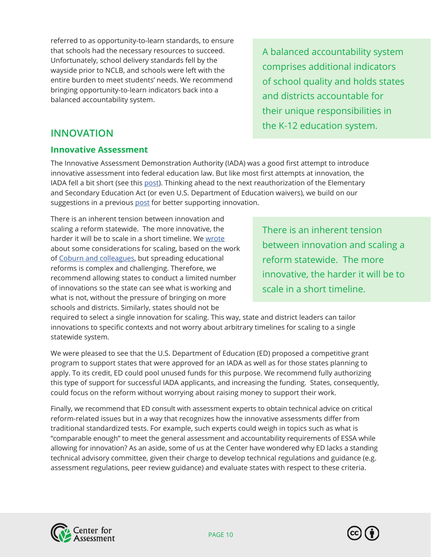<span id="page-9-0"></span>referred to as opportunity-to-learn standards, to ensure that schools had the necessary resources to succeed. Unfortunately, school delivery standards fell by the wayside prior to NCLB, and schools were left with the entire burden to meet students' needs. We recommend bringing opportunity-to-learn indicators back into a balanced accountability system.

A balanced accountability system comprises additional indicators of school quality and holds states and districts accountable for their unique responsibilities in the K-12 education system.

# **INNOVATION**

#### **Innovative Assessment**

The Innovative Assessment Demonstration Authority (IADA) was a good first attempt to introduce innovative assessment into federal education law. But like most first attempts at innovation, the IADA fell a bit short (see this [post\)](https://www.nciea.org/blog/essa/education-innovators-dilemma). Thinking ahead to the next reauthorization of the Elementary and Secondary Education Act (or even U.S. Department of Education waivers), we build on our suggestions in a previous [post](https://www.nciea.org/blog/being-innovative-under-essas-innovative-assessment-demonstration-authority) for better supporting innovation.

There is an inherent tension between innovation and scaling a reform statewide. The more innovative, the harder it will be to scale in a short timeline. We [wrote](https://www.nciea.org/blog/assessment/how-can-every-educator-achieve-assessment-literacy) about some considerations for scaling, based on the work of [Coburn and colleagues,](https://journals.sagepub.com/doi/10.3102/0013189X19860531) but spreading educational reforms is complex and challenging. Therefore, we recommend allowing states to conduct a limited number of innovations so the state can see what is working and what is not, without the pressure of bringing on more schools and districts. Similarly, states should not be

There is an inherent tension between innovation and scaling a reform statewide. The more innovative, the harder it will be to scale in a short timeline.

required to select a single innovation for scaling. This way, state and district leaders can tailor innovations to specific contexts and not worry about arbitrary timelines for scaling to a single statewide system.

We were pleased to see that the U.S. Department of Education (ED) proposed a competitive grant program to support states that were approved for an IADA as well as for those states planning to apply. To its credit, ED could pool unused funds for this purpose. We recommend fully authorizing this type of support for successful IADA applicants, and increasing the funding. States, consequently, could focus on the reform without worrying about raising money to support their work.

Finally, we recommend that ED consult with assessment experts to obtain technical advice on critical reform-related issues but in a way that recognizes how the innovative assessments differ from traditional standardized tests. For example, such experts could weigh in topics such as what is "comparable enough" to meet the general assessment and accountability requirements of ESSA while allowing for innovation? As an aside, some of us at the Center have wondered why ED lacks a standing technical advisory committee, given their charge to develop technical regulations and guidance (e.g. assessment regulations, peer review guidance) and evaluate states with respect to these criteria.



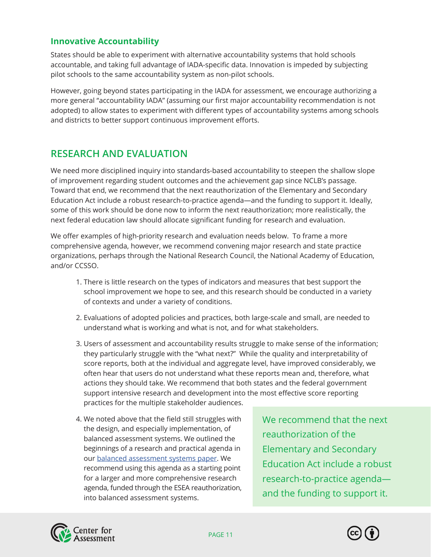#### <span id="page-10-0"></span>**Innovative Accountability**

States should be able to experiment with alternative accountability systems that hold schools accountable, and taking full advantage of IADA-specific data. Innovation is impeded by subjecting pilot schools to the same accountability system as non-pilot schools.

However, going beyond states participating in the IADA for assessment, we encourage authorizing a more general "accountability IADA" (assuming our first major accountability recommendation is not adopted) to allow states to experiment with different types of accountability systems among schools and districts to better support continuous improvement efforts.

# **RESEARCH AND EVALUATION**

We need more disciplined inquiry into standards-based accountability to steepen the shallow slope of improvement regarding student outcomes and the achievement gap since NCLB's passage. Toward that end, we recommend that the next reauthorization of the Elementary and Secondary Education Act include a robust research-to-practice agenda—and the funding to support it. Ideally, some of this work should be done now to inform the next reauthorization; more realistically, the next federal education law should allocate significant funding for research and evaluation.

We offer examples of high-priority research and evaluation needs below. To frame a more comprehensive agenda, however, we recommend convening major research and state practice organizations, perhaps through the National Research Council, the National Academy of Education, and/or CCSSO.

- 1. There is little research on the types of indicators and measures that best support the school improvement we hope to see, and this research should be conducted in a variety of contexts and under a variety of conditions.
- 2. Evaluations of adopted policies and practices, both large-scale and small, are needed to understand what is working and what is not, and for what stakeholders.
- 3. Users of assessment and accountability results struggle to make sense of the information; they particularly struggle with the "what next?" While the quality and interpretability of score reports, both at the individual and aggregate level, have improved considerably, we often hear that users do not understand what these reports mean and, therefore, what actions they should take. We recommend that both states and the federal government support intensive research and development into the most effective score reporting practices for the multiple stakeholder audiences.
- 4. We noted above that the field still struggles with the design, and especially implementation, of balanced assessment systems. We outlined the beginnings of a research and practical agenda in our [balanced assessment systems paper](https://www.nciea.org/library/tricky-balance-challenges-and-opportunities-balanced-systems-assessment). We recommend using this agenda as a starting point for a larger and more comprehensive research agenda, funded through the ESEA reauthorization, into balanced assessment systems.

We recommend that the next reauthorization of the Elementary and Secondary Education Act include a robust research-to-practice agenda and the funding to support it.



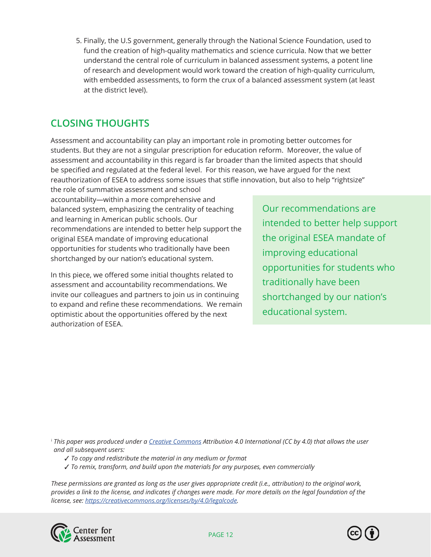<span id="page-11-0"></span>5. Finally, the U.S government, generally through the National Science Foundation, used to fund the creation of high-quality mathematics and science curricula. Now that we better understand the central role of curriculum in balanced assessment systems, a potent line of research and development would work toward the creation of high-quality curriculum, with embedded assessments, to form the crux of a balanced assessment system (at least at the district level).

# **CLOSING THOUGHTS**

Assessment and accountability can play an important role in promoting better outcomes for students. But they are not a singular prescription for education reform. Moreover, the value of assessment and accountability in this regard is far broader than the limited aspects that should be specified and regulated at the federal level. For this reason, we have argued for the next reauthorization of ESEA to address some issues that stifle innovation, but also to help "rightsize"

the role of summative assessment and school accountability—within a more comprehensive and balanced system, emphasizing the centrality of teaching and learning in American public schools. Our recommendations are intended to better help support the original ESEA mandate of improving educational opportunities for students who traditionally have been shortchanged by our nation's educational system.

In this piece, we offered some initial thoughts related to assessment and accountability recommendations. We invite our colleagues and partners to join us in continuing to expand and refine these recommendations. We remain optimistic about the opportunities offered by the next authorization of ESEA.

Our recommendations are intended to better help support the original ESEA mandate of improving educational opportunities for students who traditionally have been shortchanged by our nation's educational system.

<sup>i</sup> *This paper was produced under a [Creative Commons](https://creativecommons.org/) Attribution 4.0 International (CC by 4.0) that allows the user and all subsequent users:*

- 3 *To copy and redistribute the material in any medium or format*
- 3 *To remix, transform, and build upon the materials for any purposes, even commercially*

*These permissions are granted as long as the user gives appropriate credit (i.e., attribution) to the original work, provides a link to the license, and indicates if changes were made. For more details on the legal foundation of the license, see: [https://creativecommons.org/licenses/by/4.0/legalcode.](https://creativecommons.org/licenses/by/4.0/legalcode)*